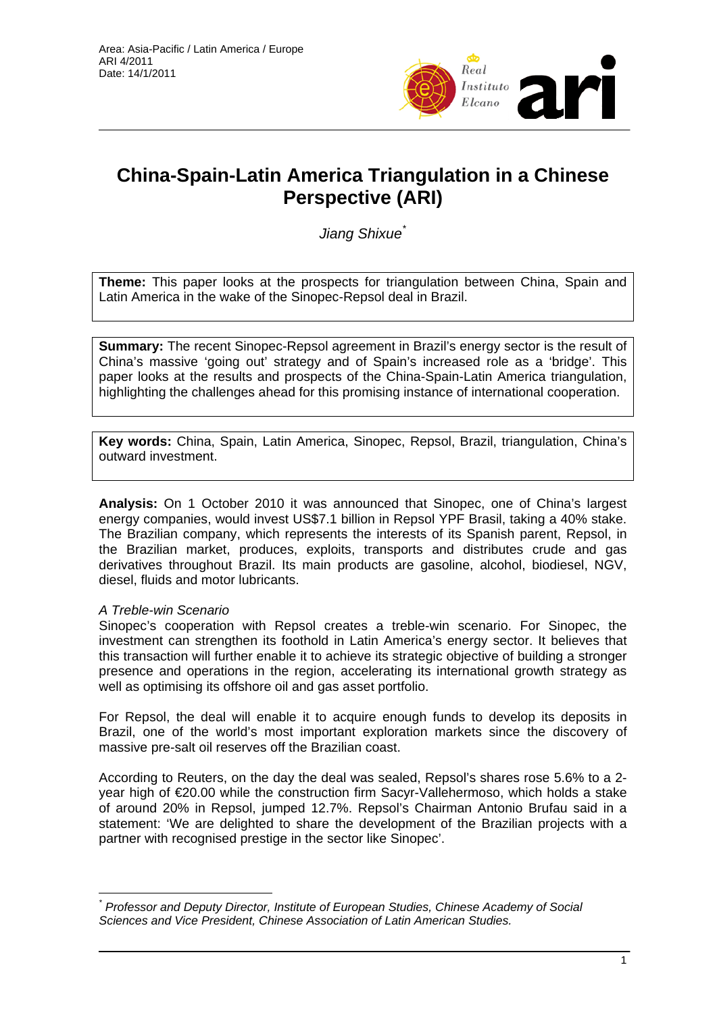

# **China-Spain-Latin America Triangulation in a Chinese Perspective (ARI)**

*Jiang Shixue*[\\*](#page-0-0)

**Theme:** This paper looks at the prospects for triangulation between China, Spain and Latin America in the wake of the Sinopec-Repsol deal in Brazil.

**Summary:** The recent Sinopec-Repsol agreement in Brazil's energy sector is the result of China's massive 'going out' strategy and of Spain's increased role as a 'bridge'. This paper looks at the results and prospects of the China-Spain-Latin America triangulation, highlighting the challenges ahead for this promising instance of international cooperation.

**Key words:** China, Spain, Latin America, Sinopec, Repsol, Brazil, triangulation, China's outward investment.

**Analysis:** On 1 October 2010 it was announced that Sinopec, one of China's largest energy companies, would invest US\$7.1 billion in Repsol YPF Brasil, taking a 40% stake. The Brazilian company, which represents the interests of its Spanish parent, Repsol, in the Brazilian market, produces, exploits, transports and distributes crude and gas derivatives throughout Brazil. Its main products are gasoline, alcohol, biodiesel, NGV, diesel, fluids and motor lubricants.

# *A Treble-win Scenario*

Sinopec's cooperation with Repsol creates a treble-win scenario. For Sinopec, the investment can strengthen its foothold in Latin America's energy sector. It believes that this transaction will further enable it to achieve its strategic objective of building a stronger presence and operations in the region, accelerating its international growth strategy as well as optimising its offshore oil and gas asset portfolio.

For Repsol, the deal will enable it to acquire enough funds to develop its deposits in Brazil, one of the world's most important exploration markets since the discovery of massive pre-salt oil reserves off the Brazilian coast.

According to Reuters, on the day the deal was sealed, Repsol's shares rose 5.6% to a 2 year high of €20.00 while the construction firm Sacyr-Vallehermoso, which holds a stake of around 20% in Repsol, jumped 12.7%. Repsol's Chairman Antonio Brufau said in a statement: 'We are delighted to share the development of the Brazilian projects with a partner with recognised prestige in the sector like Sinopec'.

<span id="page-0-0"></span> $\overline{a}$ *\* Professor and Deputy Director, Institute of European Studies, Chinese Academy of Social Sciences and Vice President, Chinese Association of Latin American Studies.*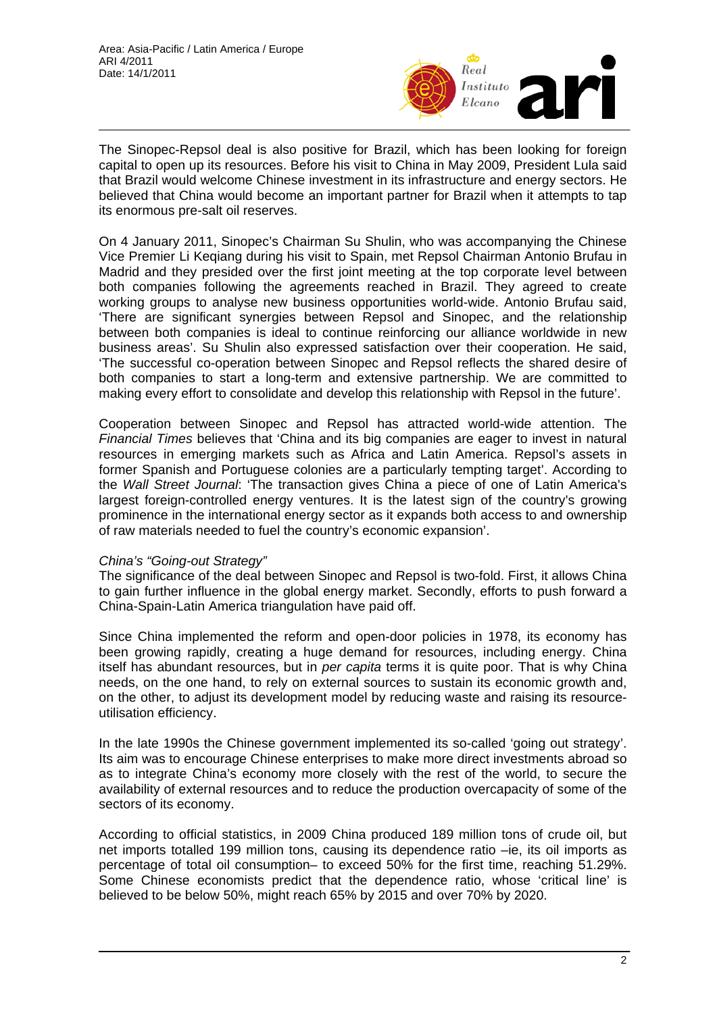

The Sinopec-Repsol deal is also positive for Brazil, which has been looking for foreign capital to open up its resources. Before his visit to China in May 2009, President Lula said that Brazil would welcome Chinese investment in its infrastructure and energy sectors. He believed that China would become an important partner for Brazil when it attempts to tap its enormous pre-salt oil reserves.

On 4 January 2011, Sinopec's Chairman Su Shulin, who was accompanying the Chinese Vice Premier Li Keqiang during his visit to Spain, met Repsol Chairman Antonio Brufau in Madrid and they presided over the first joint meeting at the top corporate level between both companies following the agreements reached in Brazil. They agreed to create working groups to analyse new business opportunities world-wide. Antonio Brufau said, 'There are significant synergies between Repsol and Sinopec, and the relationship between both companies is ideal to continue reinforcing our alliance worldwide in new business areas'. Su Shulin also expressed satisfaction over their cooperation. He said, 'The successful co-operation between Sinopec and Repsol reflects the shared desire of both companies to start a long-term and extensive partnership. We are committed to making every effort to consolidate and develop this relationship with Repsol in the future'.

Cooperation between Sinopec and Repsol has attracted world-wide attention. The *Financial Times* believes that 'China and its big companies are eager to invest in natural resources in emerging markets such as Africa and Latin America. Repsol's assets in former Spanish and Portuguese colonies are a particularly tempting target'. According to the *Wall Street Journal*: 'The transaction gives China a piece of one of Latin America's largest foreign-controlled energy ventures. It is the latest sign of the country's growing prominence in the international energy sector as it expands both access to and ownership of raw materials needed to fuel the country's economic expansion'.

# *China's "Going-out Strategy"*

The significance of the deal between Sinopec and Repsol is two-fold. First, it allows China to gain further influence in the global energy market. Secondly, efforts to push forward a China-Spain-Latin America triangulation have paid off.

Since China implemented the reform and open-door policies in 1978, its economy has been growing rapidly, creating a huge demand for resources, including energy. China itself has abundant resources, but in *per capita* terms it is quite poor. That is why China needs, on the one hand, to rely on external sources to sustain its economic growth and, on the other, to adjust its development model by reducing waste and raising its resourceutilisation efficiency.

In the late 1990s the Chinese government implemented its so-called 'going out strategy'. Its aim was to encourage Chinese enterprises to make more direct investments abroad so as to integrate China's economy more closely with the rest of the world, to secure the availability of external resources and to reduce the production overcapacity of some of the sectors of its economy.

According to official statistics, in 2009 China produced 189 million tons of crude oil, but net imports totalled 199 million tons, causing its dependence ratio –ie, its oil imports as percentage of total oil consumption– to exceed 50% for the first time, reaching 51.29%. Some Chinese economists predict that the dependence ratio, whose 'critical line' is believed to be below 50%, might reach 65% by 2015 and over 70% by 2020.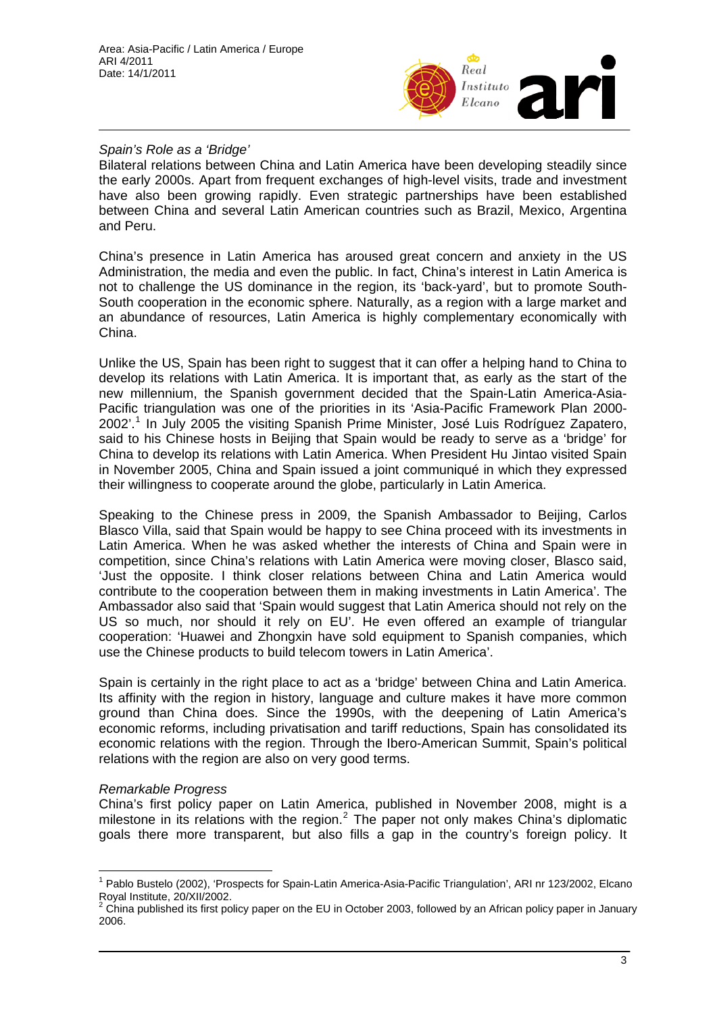

# *Spain's Role as a 'Bridge'*

Bilateral relations between China and Latin America have been developing steadily since the early 2000s. Apart from frequent exchanges of high-level visits, trade and investment have also been growing rapidly. Even strategic partnerships have been established between China and several Latin American countries such as Brazil, Mexico, Argentina and Peru.

China's presence in Latin America has aroused great concern and anxiety in the US Administration, the media and even the public. In fact, China's interest in Latin America is not to challenge the US dominance in the region, its 'back-yard', but to promote South-South cooperation in the economic sphere. Naturally, as a region with a large market and an abundance of resources, Latin America is highly complementary economically with China.

Unlike the US, Spain has been right to suggest that it can offer a helping hand to China to develop its relations with Latin America. It is important that, as early as the start of the new millennium, the Spanish government decided that the Spain-Latin America-Asia-Pacific triangulation was one of the priorities in its 'Asia-Pacific Framework Plan 2000- 2002'.<sup>[1](#page-2-0)</sup> In July 2005 the visiting Spanish Prime Minister, José Luis Rodríguez Zapatero, said to his Chinese hosts in Beijing that Spain would be ready to serve as a 'bridge' for China to develop its relations with Latin America. When President Hu Jintao visited Spain in November 2005, China and Spain issued a joint communiqué in which they expressed their willingness to cooperate around the globe, particularly in Latin America.

Speaking to the Chinese press in 2009, the Spanish Ambassador to Beijing, Carlos Blasco Villa, said that Spain would be happy to see China proceed with its investments in Latin America. When he was asked whether the interests of China and Spain were in competition, since China's relations with Latin America were moving closer, Blasco said, 'Just the opposite. I think closer relations between China and Latin America would contribute to the cooperation between them in making investments in Latin America'. The Ambassador also said that 'Spain would suggest that Latin America should not rely on the US so much, nor should it rely on EU'. He even offered an example of triangular cooperation: 'Huawei and Zhongxin have sold equipment to Spanish companies, which use the Chinese products to build telecom towers in Latin America'.

Spain is certainly in the right place to act as a 'bridge' between China and Latin America. Its affinity with the region in history, language and culture makes it have more common ground than China does. Since the 1990s, with the deepening of Latin America's economic reforms, including privatisation and tariff reductions, Spain has consolidated its economic relations with the region. Through the Ibero-American Summit, Spain's political relations with the region are also on very good terms.

# *Remarkable Progress*

 $\overline{1}$ 

China's first policy paper on Latin America, published in November 2008, might is a milestone in its relations with the region.<sup>[2](#page-2-1)</sup> The paper not only makes China's diplomatic goals there more transparent, but also fills a gap in the country's foreign policy. It

<span id="page-2-0"></span><sup>&</sup>lt;sup>1</sup> Pablo Bustelo (2002), 'Prospects for Spain-Latin America-Asia-Pacific Triangulation', ARI nr 123/2002, Elcano Royal Institute, 20/XII/2002.

<span id="page-2-1"></span> $2$  China published its first policy paper on the EU in October 2003, followed by an African policy paper in January 2006.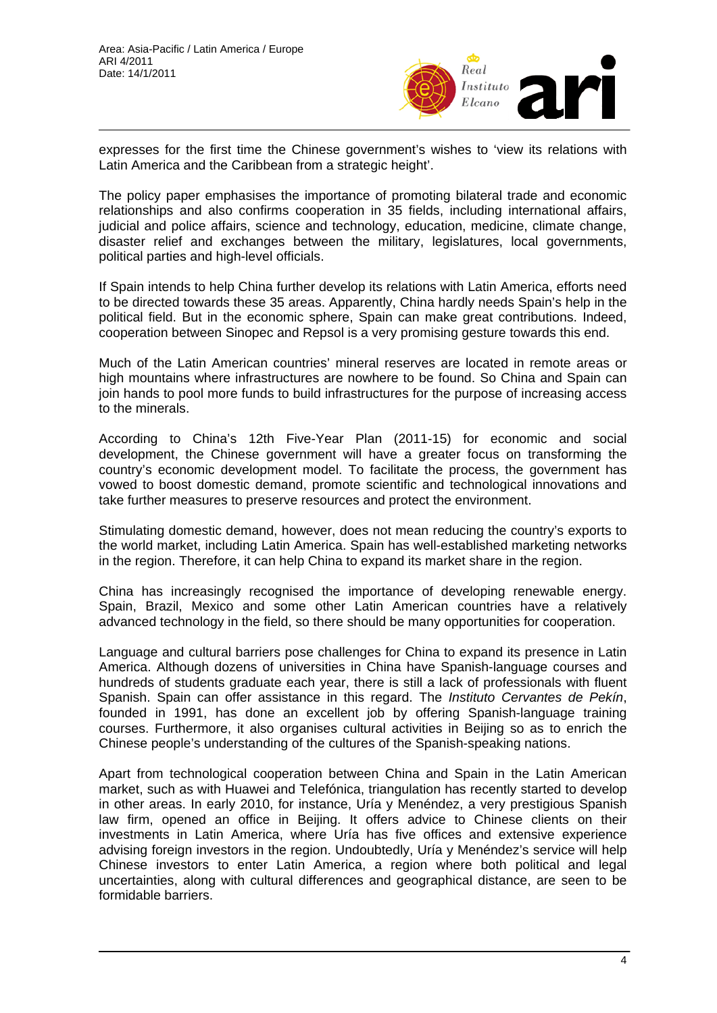

expresses for the first time the Chinese government's wishes to 'view its relations with Latin America and the Caribbean from a strategic height'.

The policy paper emphasises the importance of promoting bilateral trade and economic relationships and also confirms cooperation in 35 fields, including international affairs, judicial and police affairs, science and technology, education, medicine, climate change, disaster relief and exchanges between the military, legislatures, local governments, political parties and high-level officials.

If Spain intends to help China further develop its relations with Latin America, efforts need to be directed towards these 35 areas. Apparently, China hardly needs Spain's help in the political field. But in the economic sphere, Spain can make great contributions. Indeed, cooperation between Sinopec and Repsol is a very promising gesture towards this end.

Much of the Latin American countries' mineral reserves are located in remote areas or high mountains where infrastructures are nowhere to be found. So China and Spain can join hands to pool more funds to build infrastructures for the purpose of increasing access to the minerals.

According to China's 12th Five-Year Plan (2011-15) for economic and social development, the Chinese government will have a greater focus on transforming the country's economic development model. To facilitate the process, the government has vowed to boost domestic demand, promote scientific and technological innovations and take further measures to preserve resources and protect the environment.

Stimulating domestic demand, however, does not mean reducing the country's exports to the world market, including Latin America. Spain has well-established marketing networks in the region. Therefore, it can help China to expand its market share in the region.

China has increasingly recognised the importance of developing renewable energy. Spain, Brazil, Mexico and some other Latin American countries have a relatively advanced technology in the field, so there should be many opportunities for cooperation.

Language and cultural barriers pose challenges for China to expand its presence in Latin America. Although dozens of universities in China have Spanish-language courses and hundreds of students graduate each year, there is still a lack of professionals with fluent Spanish. Spain can offer assistance in this regard. The *Instituto Cervantes de Pekín*, founded in 1991, has done an excellent job by offering Spanish-language training courses. Furthermore, it also organises cultural activities in Beijing so as to enrich the Chinese people's understanding of the cultures of the Spanish-speaking nations.

Apart from technological cooperation between China and Spain in the Latin American market, such as with Huawei and Telefónica, triangulation has recently started to develop in other areas. In early 2010, for instance, Uría y Menéndez, a very prestigious Spanish law firm, opened an office in Beijing. It offers advice to Chinese clients on their investments in Latin America, where Uría has five offices and extensive experience advising foreign investors in the region. Undoubtedly, Uría y Menéndez's service will help Chinese investors to enter Latin America, a region where both political and legal uncertainties, along with cultural differences and geographical distance, are seen to be formidable barriers.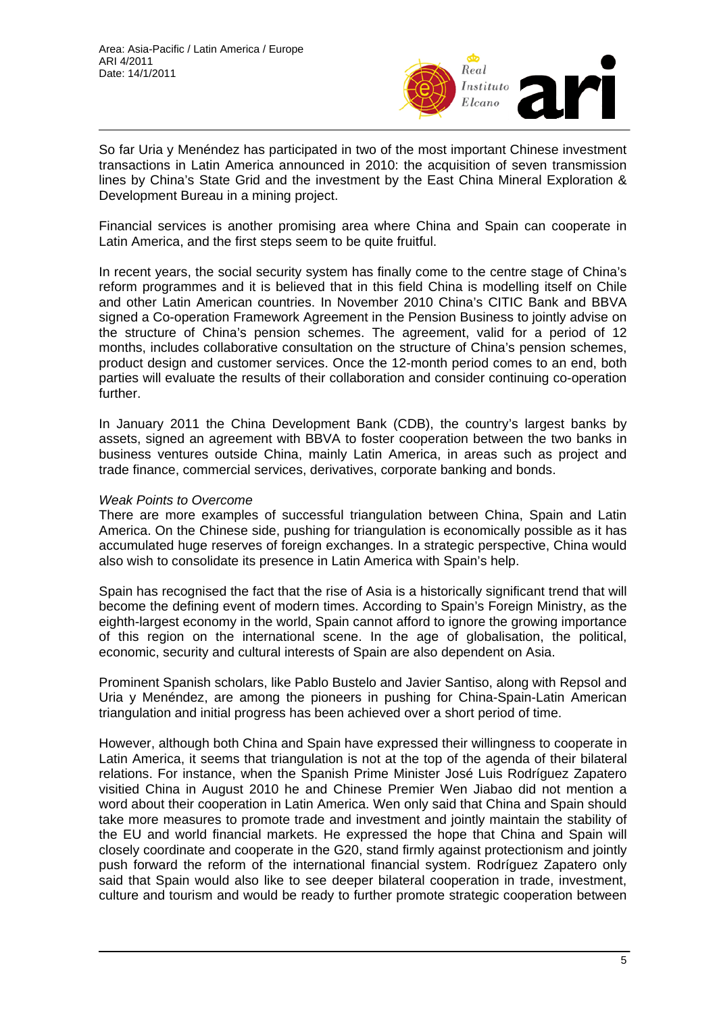

So far Uria y Menéndez has participated in two of the most important Chinese investment transactions in Latin America announced in 2010: the acquisition of seven transmission lines by China's State Grid and the investment by the East China Mineral Exploration & Development Bureau in a mining project.

Financial services is another promising area where China and Spain can cooperate in Latin America, and the first steps seem to be quite fruitful.

In recent years, the social security system has finally come to the centre stage of China's reform programmes and it is believed that in this field China is modelling itself on Chile and other Latin American countries. In November 2010 China's CITIC Bank and BBVA signed a Co-operation Framework Agreement in the Pension Business to jointly advise on the structure of China's pension schemes. The agreement, valid for a period of 12 months, includes collaborative consultation on the structure of China's pension schemes, product design and customer services. Once the 12-month period comes to an end, both parties will evaluate the results of their collaboration and consider continuing co-operation further.

In January 2011 the China Development Bank (CDB), the country's largest banks by assets, signed an agreement with BBVA to foster cooperation between the two banks in business ventures outside China, mainly Latin America, in areas such as project and trade finance, commercial services, derivatives, corporate banking and bonds.

#### *Weak Points to Overcome*

There are more examples of successful triangulation between China, Spain and Latin America. On the Chinese side, pushing for triangulation is economically possible as it has accumulated huge reserves of foreign exchanges. In a strategic perspective, China would also wish to consolidate its presence in Latin America with Spain's help.

Spain has recognised the fact that the rise of Asia is a historically significant trend that will become the defining event of modern times. According to Spain's Foreign Ministry, as the eighth-largest economy in the world, Spain cannot afford to ignore the growing importance of this region on the international scene. In the age of globalisation, the political, economic, security and cultural interests of Spain are also dependent on Asia.

Prominent Spanish scholars, like Pablo Bustelo and Javier Santiso, along with Repsol and Uria y Menéndez, are among the pioneers in pushing for China-Spain-Latin American triangulation and initial progress has been achieved over a short period of time.

However, although both China and Spain have expressed their willingness to cooperate in Latin America, it seems that triangulation is not at the top of the agenda of their bilateral relations. For instance, when the Spanish Prime Minister José Luis Rodríguez Zapatero visitied China in August 2010 he and Chinese Premier Wen Jiabao did not mention a word about their cooperation in Latin America. Wen only said that China and Spain should take more measures to promote trade and investment and jointly maintain the stability of the EU and world financial markets. He expressed the hope that China and Spain will closely coordinate and cooperate in the G20, stand firmly against protectionism and jointly push forward the reform of the international financial system. Rodríguez Zapatero only said that Spain would also like to see deeper bilateral cooperation in trade, investment, culture and tourism and would be ready to further promote strategic cooperation between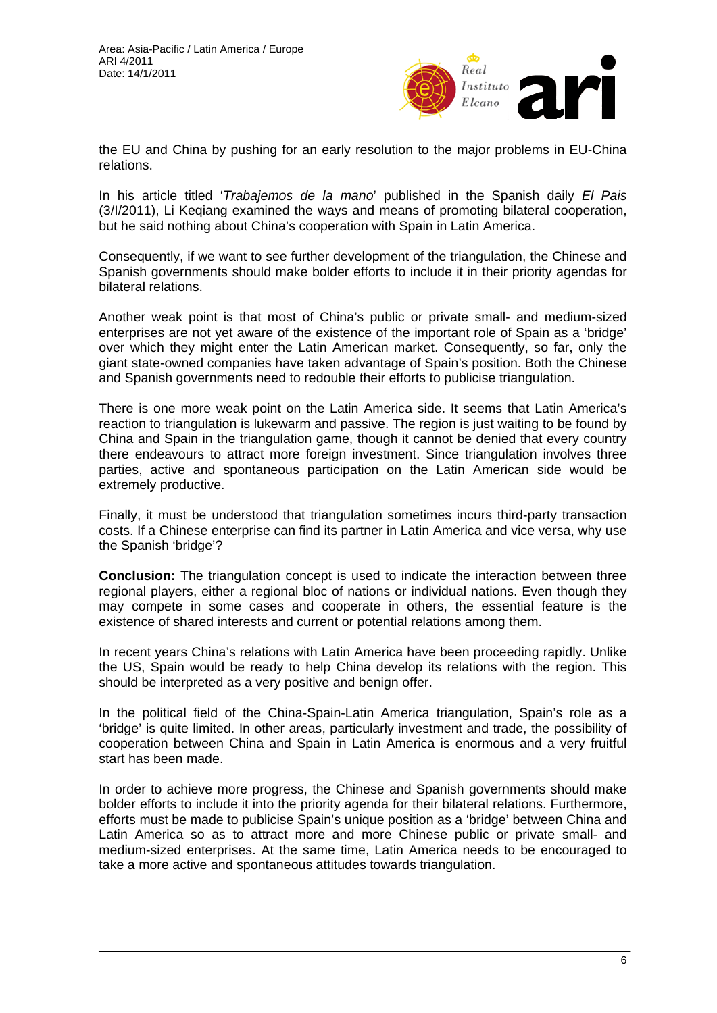

the EU and China by pushing for an early resolution to the major problems in EU-China relations.

In his article titled '*Trabajemos de la mano*' published in the Spanish daily *El Pais* (3/I/2011), Li Keqiang examined the ways and means of promoting bilateral cooperation, but he said nothing about China's cooperation with Spain in Latin America.

Consequently, if we want to see further development of the triangulation, the Chinese and Spanish governments should make bolder efforts to include it in their priority agendas for bilateral relations.

Another weak point is that most of China's public or private small- and medium-sized enterprises are not yet aware of the existence of the important role of Spain as a 'bridge' over which they might enter the Latin American market. Consequently, so far, only the giant state-owned companies have taken advantage of Spain's position. Both the Chinese and Spanish governments need to redouble their efforts to publicise triangulation.

There is one more weak point on the Latin America side. It seems that Latin America's reaction to triangulation is lukewarm and passive. The region is just waiting to be found by China and Spain in the triangulation game, though it cannot be denied that every country there endeavours to attract more foreign investment. Since triangulation involves three parties, active and spontaneous participation on the Latin American side would be extremely productive.

Finally, it must be understood that triangulation sometimes incurs third-party transaction costs. If a Chinese enterprise can find its partner in Latin America and vice versa, why use the Spanish 'bridge'?

**Conclusion:** The triangulation concept is used to indicate the interaction between three regional players, either a regional bloc of nations or individual nations. Even though they may compete in some cases and cooperate in others, the essential feature is the existence of shared interests and current or potential relations among them.

In recent years China's relations with Latin America have been proceeding rapidly. Unlike the US, Spain would be ready to help China develop its relations with the region. This should be interpreted as a very positive and benign offer.

In the political field of the China-Spain-Latin America triangulation, Spain's role as a 'bridge' is quite limited. In other areas, particularly investment and trade, the possibility of cooperation between China and Spain in Latin America is enormous and a very fruitful start has been made.

In order to achieve more progress, the Chinese and Spanish governments should make bolder efforts to include it into the priority agenda for their bilateral relations. Furthermore, efforts must be made to publicise Spain's unique position as a 'bridge' between China and Latin America so as to attract more and more Chinese public or private small- and medium-sized enterprises. At the same time, Latin America needs to be encouraged to take a more active and spontaneous attitudes towards triangulation.